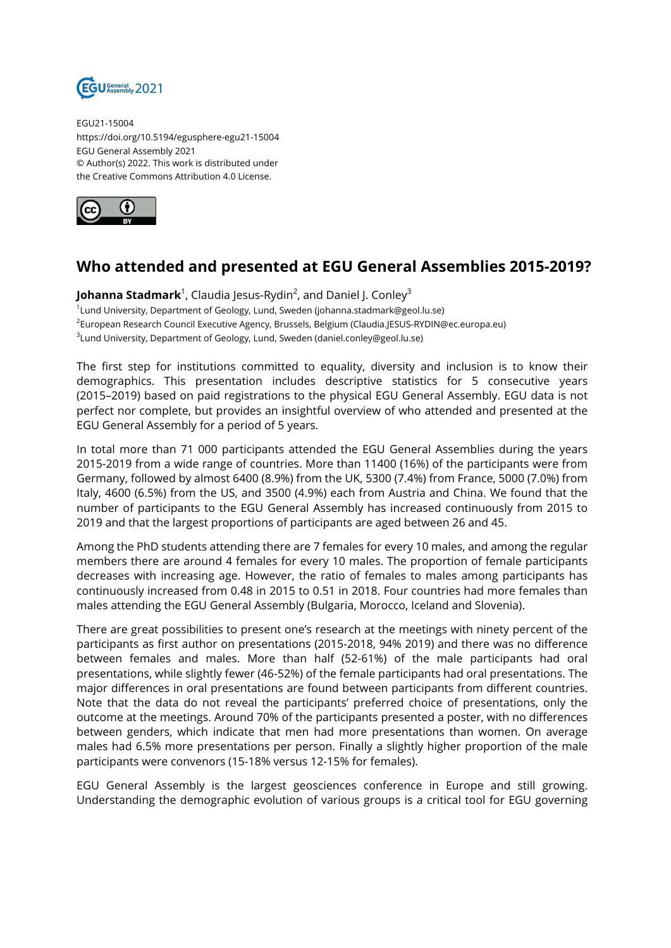

EGU21-15004 https://doi.org/10.5194/egusphere-egu21-15004 EGU General Assembly 2021 © Author(s) 2022. This work is distributed under the Creative Commons Attribution 4.0 License.



## **Who attended and presented at EGU General Assemblies 2015-2019?**

**Johanna Stadmark**<sup>1</sup>, Claudia Jesus-Rydin<sup>2</sup>, and Daniel J. Conley<sup>3</sup> 1 Lund University, Department of Geology, Lund, Sweden (johanna.stadmark@geol.lu.se)  $^2$ European Research Council Executive Agency, Brussels, Belgium (Claudia.JESUS-RYDIN@ec.europa.eu)  $^3$ Lund University, Department of Geology, Lund, Sweden (daniel.conley@geol.lu.se)

The first step for institutions committed to equality, diversity and inclusion is to know their demographics. This presentation includes descriptive statistics for 5 consecutive years (2015–2019) based on paid registrations to the physical EGU General Assembly. EGU data is not perfect nor complete, but provides an insightful overview of who attended and presented at the EGU General Assembly for a period of 5 years.

In total more than 71 000 participants attended the EGU General Assemblies during the years 2015-2019 from a wide range of countries. More than 11400 (16%) of the participants were from Germany, followed by almost 6400 (8.9%) from the UK, 5300 (7.4%) from France, 5000 (7.0%) from Italy, 4600 (6.5%) from the US, and 3500 (4.9%) each from Austria and China. We found that the number of participants to the EGU General Assembly has increased continuously from 2015 to 2019 and that the largest proportions of participants are aged between 26 and 45.

Among the PhD students attending there are 7 females for every 10 males, and among the regular members there are around 4 females for every 10 males. The proportion of female participants decreases with increasing age. However, the ratio of females to males among participants has continuously increased from 0.48 in 2015 to 0.51 in 2018. Four countries had more females than males attending the EGU General Assembly (Bulgaria, Morocco, Iceland and Slovenia).

There are great possibilities to present one's research at the meetings with ninety percent of the participants as first author on presentations (2015-2018, 94% 2019) and there was no difference between females and males. More than half (52-61%) of the male participants had oral presentations, while slightly fewer (46-52%) of the female participants had oral presentations. The major differences in oral presentations are found between participants from different countries. Note that the data do not reveal the participants' preferred choice of presentations, only the outcome at the meetings. Around 70% of the participants presented a poster, with no differences between genders, which indicate that men had more presentations than women. On average males had 6.5% more presentations per person. Finally a slightly higher proportion of the male participants were convenors (15-18% versus 12-15% for females).

EGU General Assembly is the largest geosciences conference in Europe and still growing. Understanding the demographic evolution of various groups is a critical tool for EGU governing